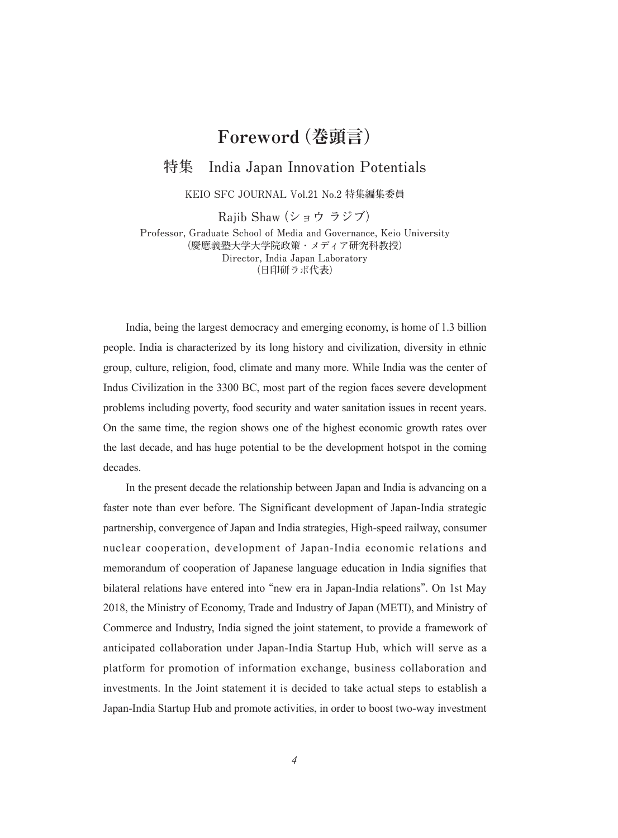## **Foreword(巻頭言)**

## **特集 India Japan Innovation Potentials**

**KEIO SFC JOURNAL Vol.21 No.2 特集編集委員**

**Rajib Shaw(ショウ ラジブ)**

**Professor, Graduate School of Media and Governance, Keio University (慶應義塾大学大学院政策・メディア研究科教授) Director, India Japan Laboratory (日印研ラボ代表)**

India, being the largest democracy and emerging economy, is home of 1.3 billion people. India is characterized by its long history and civilization, diversity in ethnic group, culture, religion, food, climate and many more. While India was the center of Indus Civilization in the 3300 BC, most part of the region faces severe development problems including poverty, food security and water sanitation issues in recent years. On the same time, the region shows one of the highest economic growth rates over the last decade, and has huge potential to be the development hotspot in the coming decades.

In the present decade the relationship between Japan and India is advancing on a faster note than ever before. The Significant development of Japan-India strategic partnership, convergence of Japan and India strategies, High-speed railway, consumer nuclear cooperation, development of Japan-India economic relations and memorandum of cooperation of Japanese language education in India signifies that bilateral relations have entered into **"**new era in Japan-India relations**"**. On 1st May 2018, the Ministry of Economy, Trade and Industry of Japan (METI), and Ministry of Commerce and Industry, India signed the joint statement, to provide a framework of anticipated collaboration under Japan-India Startup Hub, which will serve as a platform for promotion of information exchange, business collaboration and investments. In the Joint statement it is decided to take actual steps to establish a Japan-India Startup Hub and promote activities, in order to boost two-way investment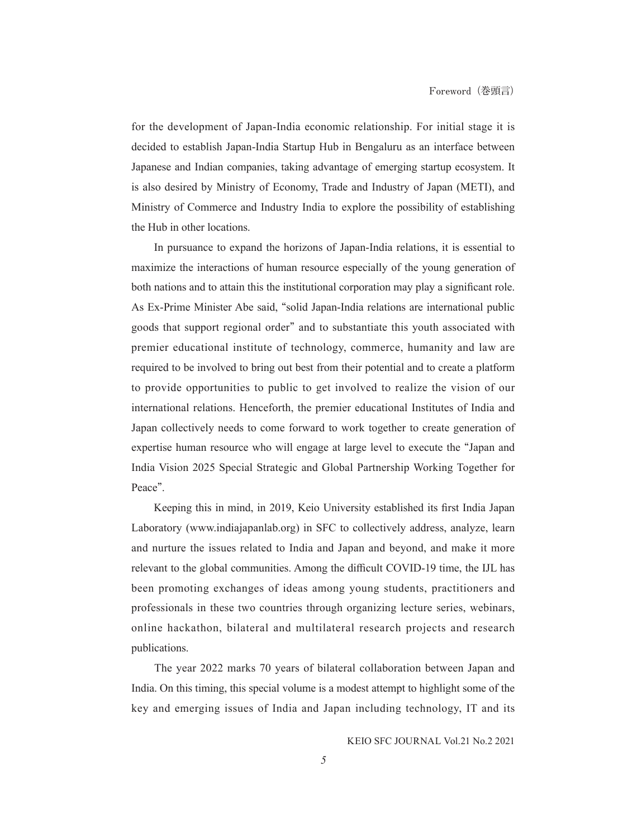for the development of Japan-India economic relationship. For initial stage it is decided to establish Japan-India Startup Hub in Bengaluru as an interface between Japanese and Indian companies, taking advantage of emerging startup ecosystem. It is also desired by Ministry of Economy, Trade and Industry of Japan (METI), and Ministry of Commerce and Industry India to explore the possibility of establishing the Hub in other locations.

In pursuance to expand the horizons of Japan-India relations, it is essential to maximize the interactions of human resource especially of the young generation of both nations and to attain this the institutional corporation may play a significant role. As Ex-Prime Minister Abe said, **"**solid Japan-India relations are international public goods that support regional order**"** and to substantiate this youth associated with premier educational institute of technology, commerce, humanity and law are required to be involved to bring out best from their potential and to create a platform to provide opportunities to public to get involved to realize the vision of our international relations. Henceforth, the premier educational Institutes of India and Japan collectively needs to come forward to work together to create generation of expertise human resource who will engage at large level to execute the **"**Japan and India Vision 2025 Special Strategic and Global Partnership Working Together for Peace**"**.

Keeping this in mind, in 2019, Keio University established its first India Japan Laboratory (www.indiajapanlab.org) in SFC to collectively address, analyze, learn and nurture the issues related to India and Japan and beyond, and make it more relevant to the global communities. Among the difficult COVID-19 time, the IJL has been promoting exchanges of ideas among young students, practitioners and professionals in these two countries through organizing lecture series, webinars, online hackathon, bilateral and multilateral research projects and research publications.

The year 2022 marks 70 years of bilateral collaboration between Japan and India. On this timing, this special volume is a modest attempt to highlight some of the key and emerging issues of India and Japan including technology, IT and its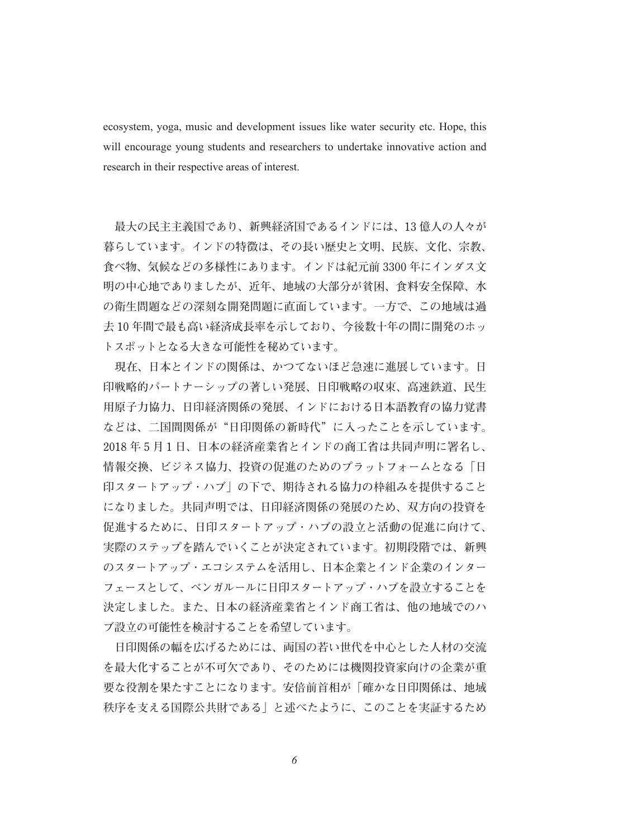ecosystem, yoga, music and development issues like water security etc. Hope, this will encourage young students and researchers to undertake innovative action and research in their respective areas of interest.

 **最大の民主主義国であり、新興経済国であるインドには、13 億人の人々が 暮らしています。インドの特徴は、その長い歴史と文明、民族、文化、宗教、 食べ物、気候などの多様性にあります。インドは紀元前 3300 年にインダス文 明の中心地でありましたが、近年、地域の大部分が貧困、食料安全保障、水 の衛生問題などの深刻な開発問題に直面しています。一方で、この地域は過 去 10 年間で最も高い経済成長率を示しており、今後数十年の間に開発のホッ トスポットとなる大きな可能性を秘めています。**

 **現在、日本とインドの関係は、かつてないほど急速に進展しています。日 印戦略的パートナーシップの著しい発展、日印戦略の収束、高速鉄道、民生 用原子力協力、日印経済関係の発展、インドにおける日本語教育の協力覚書 などは、二国間関係が"日印関係の新時代"に入ったことを示しています。 2018 年 5 月 1 日、日本の経済産業省とインドの商工省は共同声明に署名し、 情報交換、ビジネス協力、投資の促進のためのプラットフォームとなる「日 印スタートアップ・ハブ」の下で、期待される協力の枠組みを提供すること になりました。共同声明では、日印経済関係の発展のため、双方向の投資を 促進するために、日印スタートアップ・ハブの設立と活動の促進に向けて、 実際のステップを踏んでいくことが決定されています。初期段階では、新興 のスタートアップ・エコシステムを活用し、日本企業とインド企業のインター フェースとして、ベンガルールに日印スタートアップ・ハブを設立することを 決定しました。また、日本の経済産業省とインド商工省は、他の地域でのハ ブ設立の可能性を検討することを希望しています。**

 **日印関係の幅を広げるためには、両国の若い世代を中心とした人材の交流 を最大化することが不可欠であり、そのためには機関投資家向けの企業が重 要な役割を果たすことになります。安倍前首相が「確かな日印関係は、地域 秩序を支える国際公共財である」と述べたように、このことを実証するため**

*6*